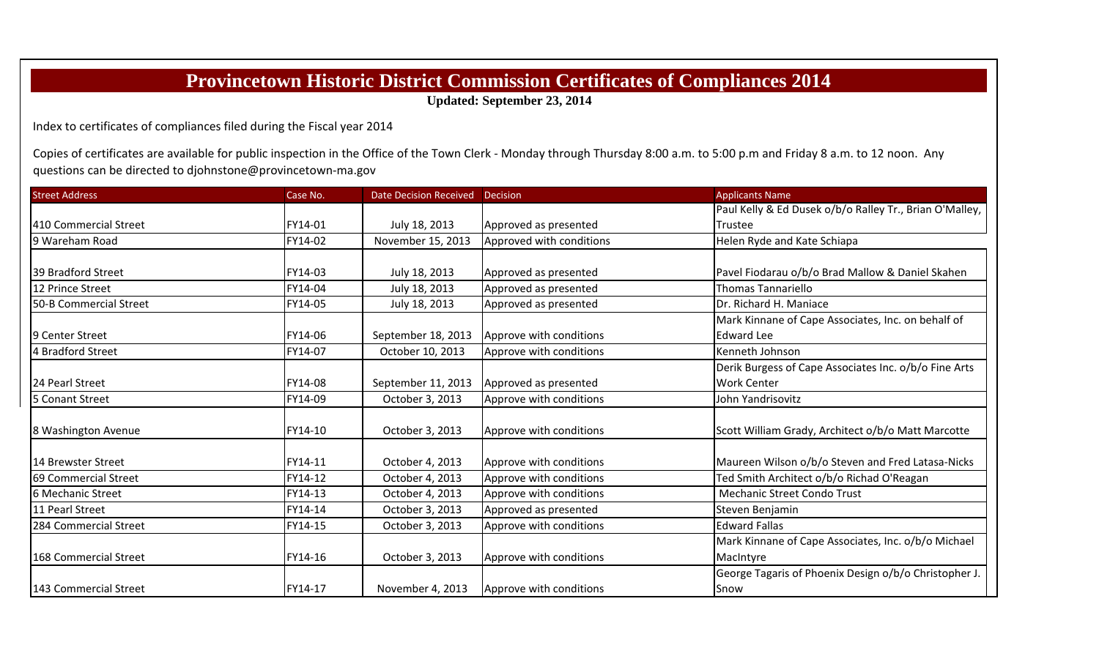## **Provincetown Historic District Commission Certificates of Compliances 2014**

**Updated: September 23, 2014**

Index to certificates of compliances filed during the Fiscal year 2014

Copies of certificates are available for public inspection in the Office of the Town Clerk - Monday through Thursday 8:00 a.m. to 5:00 p.m and Friday 8 a.m. to 12 noon. Any questions can be directed to djohnstone@provincetown‐ma.gov

| <b>Street Address</b>  | Case No. | <b>Date Decision Received</b> | <b>Decision</b>          | <b>Applicants Name</b>                                  |
|------------------------|----------|-------------------------------|--------------------------|---------------------------------------------------------|
|                        |          |                               |                          | Paul Kelly & Ed Dusek o/b/o Ralley Tr., Brian O'Malley, |
| 410 Commercial Street  | FY14-01  | July 18, 2013                 | Approved as presented    | <b>Trustee</b>                                          |
| 9 Wareham Road         | FY14-02  | November 15, 2013             | Approved with conditions | Helen Ryde and Kate Schiapa                             |
|                        |          |                               |                          |                                                         |
| 39 Bradford Street     | FY14-03  | July 18, 2013                 | Approved as presented    | Pavel Fiodarau o/b/o Brad Mallow & Daniel Skahen        |
| 12 Prince Street       | FY14-04  | July 18, 2013                 | Approved as presented    | <b>Thomas Tannariello</b>                               |
| 50-B Commercial Street | FY14-05  | July 18, 2013                 | Approved as presented    | Dr. Richard H. Maniace                                  |
|                        |          |                               |                          | Mark Kinnane of Cape Associates, Inc. on behalf of      |
| 9 Center Street        | FY14-06  | September 18, 2013            | Approve with conditions  | <b>Edward Lee</b>                                       |
| 4 Bradford Street      | FY14-07  | October 10, 2013              | Approve with conditions  | Kenneth Johnson                                         |
|                        |          |                               |                          | Derik Burgess of Cape Associates Inc. o/b/o Fine Arts   |
| 24 Pearl Street        | FY14-08  | September 11, 2013            | Approved as presented    | <b>Work Center</b>                                      |
| 5 Conant Street        | FY14-09  | October 3, 2013               | Approve with conditions  | John Yandrisovitz                                       |
| 8 Washington Avenue    | FY14-10  | October 3, 2013               | Approve with conditions  | Scott William Grady, Architect o/b/o Matt Marcotte      |
| 14 Brewster Street     | FY14-11  | October 4, 2013               | Approve with conditions  | Maureen Wilson o/b/o Steven and Fred Latasa-Nicks       |
| 69 Commercial Street   | FY14-12  | October 4, 2013               | Approve with conditions  | Ted Smith Architect o/b/o Richad O'Reagan               |
| 6 Mechanic Street      | FY14-13  | October 4, 2013               | Approve with conditions  | <b>Mechanic Street Condo Trust</b>                      |
| 11 Pearl Street        | FY14-14  | October 3, 2013               | Approved as presented    | Steven Benjamin                                         |
| 284 Commercial Street  | FY14-15  | October 3, 2013               | Approve with conditions  | <b>Edward Fallas</b>                                    |
|                        |          |                               |                          | Mark Kinnane of Cape Associates, Inc. o/b/o Michael     |
| 168 Commercial Street  | FY14-16  | October 3, 2013               | Approve with conditions  | MacIntyre                                               |
|                        |          |                               |                          | George Tagaris of Phoenix Design o/b/o Christopher J.   |
| 143 Commercial Street  | FY14-17  | November 4, 2013              | Approve with conditions  | Snow                                                    |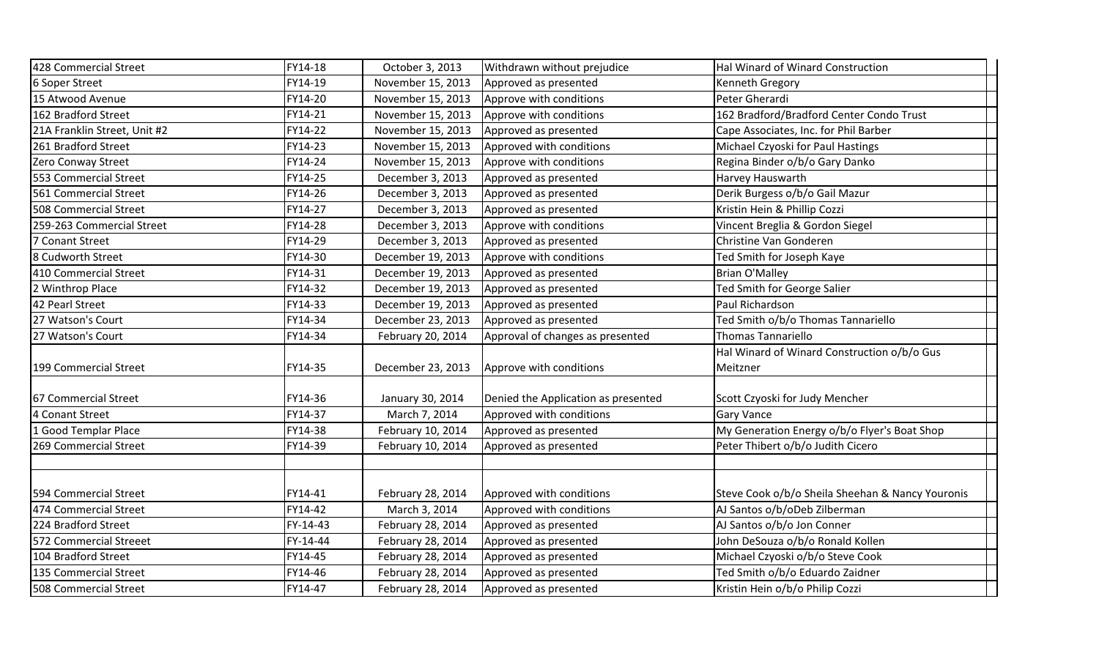| 428 Commercial Street        | FY14-18  | October 3, 2013                   | Withdrawn without prejudice         | Hal Winard of Winard Construction                   |
|------------------------------|----------|-----------------------------------|-------------------------------------|-----------------------------------------------------|
| 6 Soper Street               | FY14-19  | November 15, 2013                 | Approved as presented               | <b>Kenneth Gregory</b>                              |
| 15 Atwood Avenue             | FY14-20  | November 15, 2013                 | Approve with conditions             | Peter Gherardi                                      |
| 162 Bradford Street          | FY14-21  | November 15, 2013                 | Approve with conditions             | 162 Bradford/Bradford Center Condo Trust            |
| 21A Franklin Street, Unit #2 | FY14-22  | November 15, 2013                 | Approved as presented               | Cape Associates, Inc. for Phil Barber               |
| 261 Bradford Street          | FY14-23  | November 15, 2013                 | Approved with conditions            | Michael Czyoski for Paul Hastings                   |
| Zero Conway Street           | FY14-24  | November 15, 2013                 | Approve with conditions             | Regina Binder o/b/o Gary Danko                      |
| 553 Commercial Street        | FY14-25  | December 3, 2013                  | Approved as presented               | Harvey Hauswarth                                    |
| 561 Commercial Street        | FY14-26  | December 3, 2013                  | Approved as presented               | Derik Burgess o/b/o Gail Mazur                      |
| 508 Commercial Street        | FY14-27  | December 3, 2013                  | Approved as presented               | Kristin Hein & Phillip Cozzi                        |
| 259-263 Commercial Street    | FY14-28  | December 3, 2013                  | Approve with conditions             | Vincent Breglia & Gordon Siegel                     |
| 7 Conant Street              | FY14-29  | December 3, 2013                  | Approved as presented               | Christine Van Gonderen                              |
| 8 Cudworth Street            | FY14-30  | December 19, 2013                 | Approve with conditions             | Ted Smith for Joseph Kaye                           |
| 410 Commercial Street        | FY14-31  | December 19, 2013                 | Approved as presented               | <b>Brian O'Malley</b>                               |
| 2 Winthrop Place             | FY14-32  | December 19, 2013                 | Approved as presented               | Ted Smith for George Salier                         |
| 42 Pearl Street              | FY14-33  | December 19, 2013                 | Approved as presented               | Paul Richardson                                     |
| 27 Watson's Court            | FY14-34  | December 23, 2013                 | Approved as presented               | Ted Smith o/b/o Thomas Tannariello                  |
| 27 Watson's Court            | FY14-34  | February 20, 2014                 | Approval of changes as presented    | Thomas Tannariello                                  |
|                              |          |                                   |                                     | Hal Winard of Winard Construction o/b/o Gus         |
| 199 Commercial Street        | FY14-35  | December 23, 2013                 | Approve with conditions             | Meitzner                                            |
| 67 Commercial Street         | FY14-36  |                                   | Denied the Application as presented |                                                     |
| 4 Conant Street              | FY14-37  | January 30, 2014<br>March 7, 2014 | Approved with conditions            | Scott Czyoski for Judy Mencher<br><b>Gary Vance</b> |
|                              | FY14-38  |                                   |                                     |                                                     |
| 1 Good Templar Place         |          | February 10, 2014                 | Approved as presented               | My Generation Energy o/b/o Flyer's Boat Shop        |
| 269 Commercial Street        | FY14-39  | February 10, 2014                 | Approved as presented               | Peter Thibert o/b/o Judith Cicero                   |
|                              |          |                                   |                                     |                                                     |
| 594 Commercial Street        | FY14-41  | February 28, 2014                 | Approved with conditions            | Steve Cook o/b/o Sheila Sheehan & Nancy Youronis    |
| 474 Commercial Street        | FY14-42  | March 3, 2014                     | Approved with conditions            | AJ Santos o/b/oDeb Zilberman                        |
| 224 Bradford Street          | FY-14-43 | February 28, 2014                 | Approved as presented               | AJ Santos o/b/o Jon Conner                          |
| 572 Commercial Streeet       | FY-14-44 | February 28, 2014                 | Approved as presented               | John DeSouza o/b/o Ronald Kollen                    |
| 104 Bradford Street          | FY14-45  | February 28, 2014                 | Approved as presented               | Michael Czyoski o/b/o Steve Cook                    |
| 135 Commercial Street        | FY14-46  | February 28, 2014                 | Approved as presented               | Ted Smith o/b/o Eduardo Zaidner                     |
| 508 Commercial Street        | FY14-47  | February 28, 2014                 | Approved as presented               | Kristin Hein o/b/o Philip Cozzi                     |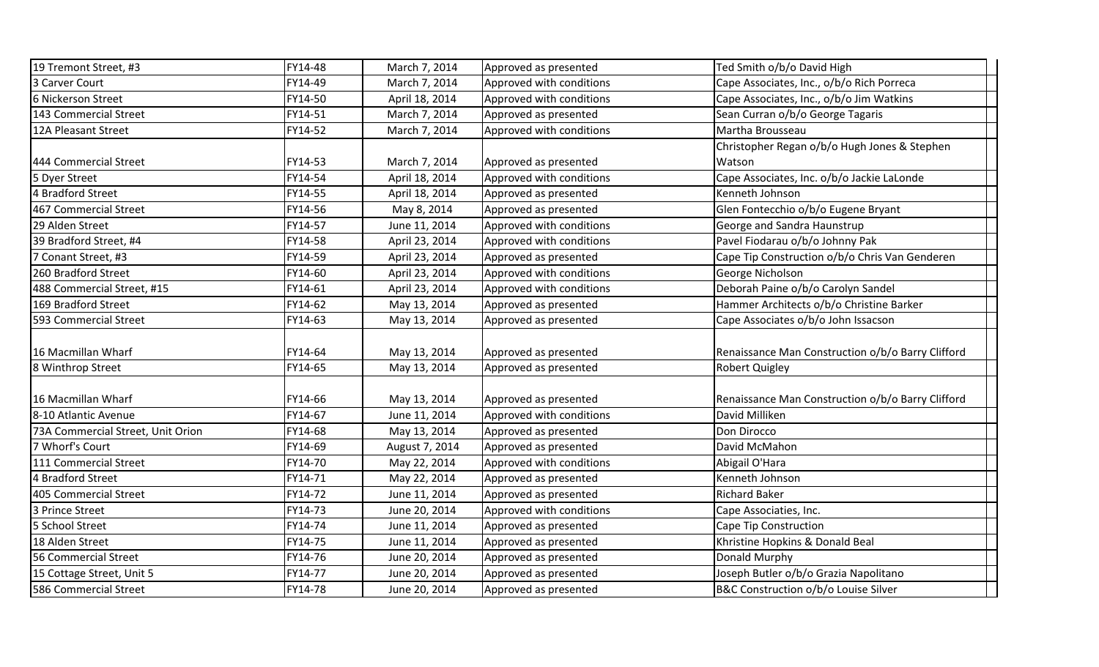| 19 Tremont Street, #3             | FY14-48 | March 7, 2014  | Approved as presented    | Ted Smith o/b/o David High                        |
|-----------------------------------|---------|----------------|--------------------------|---------------------------------------------------|
| 3 Carver Court                    | FY14-49 | March 7, 2014  | Approved with conditions | Cape Associates, Inc., o/b/o Rich Porreca         |
| 6 Nickerson Street                | FY14-50 | April 18, 2014 | Approved with conditions | Cape Associates, Inc., o/b/o Jim Watkins          |
| 143 Commercial Street             | FY14-51 | March 7, 2014  | Approved as presented    | Sean Curran o/b/o George Tagaris                  |
|                                   |         |                |                          |                                                   |
| 12A Pleasant Street               | FY14-52 | March 7, 2014  | Approved with conditions | Martha Brousseau                                  |
|                                   |         |                |                          | Christopher Regan o/b/o Hugh Jones & Stephen      |
| 444 Commercial Street             | FY14-53 | March 7, 2014  | Approved as presented    | Watson                                            |
| 5 Dyer Street                     | FY14-54 | April 18, 2014 | Approved with conditions | Cape Associates, Inc. o/b/o Jackie LaLonde        |
| 4 Bradford Street                 | FY14-55 | April 18, 2014 | Approved as presented    | Kenneth Johnson                                   |
| 467 Commercial Street             | FY14-56 | May 8, 2014    | Approved as presented    | Glen Fontecchio o/b/o Eugene Bryant               |
| 29 Alden Street                   | FY14-57 | June 11, 2014  | Approved with conditions | George and Sandra Haunstrup                       |
| 39 Bradford Street, #4            | FY14-58 | April 23, 2014 | Approved with conditions | Pavel Fiodarau o/b/o Johnny Pak                   |
| 7 Conant Street, #3               | FY14-59 | April 23, 2014 | Approved as presented    | Cape Tip Construction o/b/o Chris Van Genderen    |
| 260 Bradford Street               | FY14-60 | April 23, 2014 | Approved with conditions | George Nicholson                                  |
| 488 Commercial Street, #15        | FY14-61 | April 23, 2014 | Approved with conditions | Deborah Paine o/b/o Carolyn Sandel                |
| 169 Bradford Street               | FY14-62 | May 13, 2014   | Approved as presented    | Hammer Architects o/b/o Christine Barker          |
| 593 Commercial Street             | FY14-63 | May 13, 2014   | Approved as presented    | Cape Associates o/b/o John Issacson               |
|                                   |         |                |                          |                                                   |
| 16 Macmillan Wharf                | FY14-64 | May 13, 2014   | Approved as presented    | Renaissance Man Construction o/b/o Barry Clifford |
| 8 Winthrop Street                 | FY14-65 | May 13, 2014   | Approved as presented    | <b>Robert Quigley</b>                             |
|                                   |         |                |                          |                                                   |
| 16 Macmillan Wharf                | FY14-66 | May 13, 2014   | Approved as presented    | Renaissance Man Construction o/b/o Barry Clifford |
| 8-10 Atlantic Avenue              | FY14-67 | June 11, 2014  | Approved with conditions | David Milliken                                    |
| 73A Commercial Street, Unit Orion | FY14-68 | May 13, 2014   | Approved as presented    | Don Dirocco                                       |
| 7 Whorf's Court                   | FY14-69 | August 7, 2014 | Approved as presented    | David McMahon                                     |
| 111 Commercial Street             | FY14-70 | May 22, 2014   | Approved with conditions | Abigail O'Hara                                    |
| 4 Bradford Street                 | FY14-71 | May 22, 2014   | Approved as presented    | Kenneth Johnson                                   |
| 405 Commercial Street             | FY14-72 | June 11, 2014  | Approved as presented    | <b>Richard Baker</b>                              |
| 3 Prince Street                   | FY14-73 | June 20, 2014  | Approved with conditions | Cape Associaties, Inc.                            |
| 5 School Street                   | FY14-74 | June 11, 2014  | Approved as presented    | Cape Tip Construction                             |
| 18 Alden Street                   | FY14-75 | June 11, 2014  | Approved as presented    | Khristine Hopkins & Donald Beal                   |
| 56 Commercial Street              | FY14-76 | June 20, 2014  | Approved as presented    | Donald Murphy                                     |
| 15 Cottage Street, Unit 5         | FY14-77 | June 20, 2014  | Approved as presented    | Joseph Butler o/b/o Grazia Napolitano             |
| 586 Commercial Street             | FY14-78 | June 20, 2014  | Approved as presented    | B&C Construction o/b/o Louise Silver              |